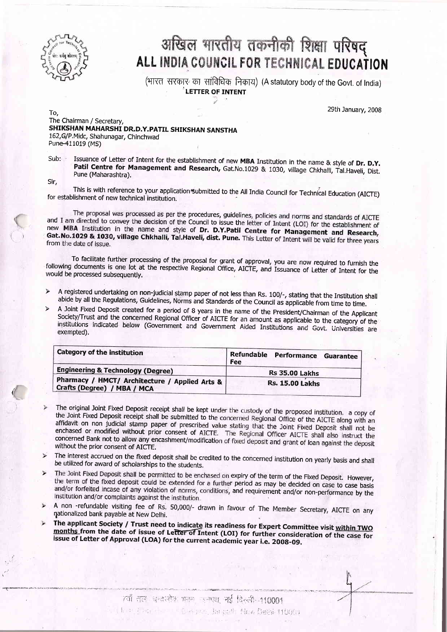

## अखिल भारतीय तकनीकी शिक्षा परिषद्<br>ALL INDIA COUNCIL FOR TECHNICAL EDUCATION

(भारत) सरकार<sup>,</sup> का सांविधिक निकाय) (A statutory body of the Govt. of India) LETTER OF INTENT

29th January, 2008

To, The Chairman / Secretary, SHIKSHAN MAHARSHI DR.D.Y. PATIL SHIKSHAN SANSTHA 162, G/P. Midc, Shahunagar, Chinchwad Pune-411019 (MS)

Issuance of Letter of Intent for the establishment of new MBA Institution in the name & style of Dr. D.Y. Patil Centre for Management and Research, Gat.No.1029 & 1030, village Chkhalli, Tal.Haveli, Dist. Pune (Maharashtra Sub:

Sir,

This is with reference to your application submitted to the All India Council for Technical Education (AICTE) for establishment of new technical institution.

The proposal was processed as per the procedures, guidelines, policies and norms and standards of AICTE<br>and I am directed to convey the decision of the Council to issue the letter of Intent (LOI) for the establishment of new MBA Institution in the name and style of Dr. D.Y.Patil Centre for Management and Research, Gat. No.1029 & 1030, village Chkhalli, Tal.Haveli, dist. Pune. This Letter of Intent will be valid for three years from the date of issue.

To facilitate further processing of the proposal for grant of approval, you are now required to furnish the following documents is one lot at the respective Regional Office, AICTE, and Issuance of Letter of Intent for the

- $\blacktriangleright$
- A registered undertaking on non-judicial stamp paper of not less than Rs. 100/-, stating that the Institution shall abide by all the Regulations, Guidelines, Norms and Standards of the Council as applicable from time to ti

| <b>Category of the institution</b>                                            | Refundable<br>Performance Guarantee<br>Fee |
|-------------------------------------------------------------------------------|--------------------------------------------|
| Engineering & Technology (Degree)                                             | <b>Rs 35.00 Lakhs</b>                      |
| Pharmacy / HMCT/ Architecture / Applied Arts &<br>Crafts (Degree) / MBA / MCA | <b>Rs. 15.00 Lakhs</b>                     |

- The original Joint Fixed Deposit receipt shall be kept under the custody of the proposed institution. a copy of the Joint Fixed Deposit receipt shall be submitted to the concerned Regional Office of the AICTE along with an affidavit on non judicial stamp paper of prescribed value stating that the Joint Fixed Deposit shall not be enchased or modified without prior consent of AICTE. The Regional Officer AICTE shall also instruct the concerned Bank not to allow any encashment/modification of fixed deposit and grant of loan against the deposit without the prior consent of AICTE.
- The interest accrued on the fixed deposit shall be credited to the concerned institution on yearly basis and shall be utilized for award of scholarships to the students.  $\triangleright$
- The Joint Fixed Deposit shall be permitted to be enchased on expiry of the term of the Fixed Deposit. However,  $\blacktriangleright$ the term of the fixed deposit could be extended for a further period as may be decided on case to case basis and/or forfeited incase of any violation of norms, conditions, and requirement and/or non-performance by the institution and/or complaints against the institution.
- A non -refundable visiting fee of Rs. 50,000/- drawn in favour of The Member Secretary, AICTE on any nationalized bank payable at New Delhi.<br>The applicant Society / Trust need to indicate its readiness for Expert Committee  $\checkmark$
- $\checkmark$ months from the date of issue of Lefter of Intent (LOI) for further consideration of the case for<br>issue of Letter of Approval (LOA) for the current academic year i.e. 2008-09.